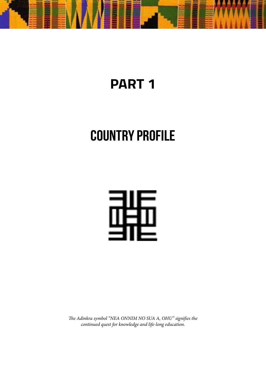

# **PART 1**

# **COUNTRY PROFILE**



*The Adinkra symbol "NEA ONNIM NO SUA A, OHU" signifies the continued quest for knowledge and life-long education.*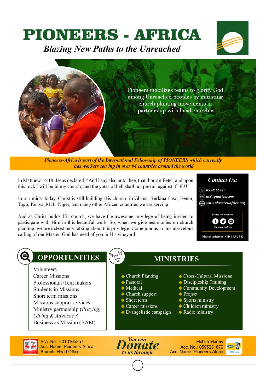# **PIONEERS - AFRICA**

**Blazing New Paths to the Unreached** 





Pioneers-Africa is part of the International Fellowship of PIONEERS which currently has workers serving in over 94 countries around the world

In Matthew 16:18, Jesus declared, "And I say also unto thee, that thou art Peter, and upon this rock I will build my church; and the gates of hell shall not prevail against it" KJV

In our midst today, Christ is still building His church; in Ghana, Burkina Faso, Benin, Togo, Kenya, Mali, Niger, and many other African countries we are serving.

And as Christ builds His church, we have the awesome privilege of being invited to participate with Him in this beautiful work. So, when we give testimonies on church planting, we are indeed only talking about this privilege. Come join us in this marvelous calling of our Master. God has need of you in His vinevard.



# **OPPORTUNITIES**

Volunteers **Career Missions** Professionals/Tent makers **Students in Missions** Short term missions Missions support services Ministry partnership (Praying, Giving & Advocacy) Business as Mission (BAM)

- $\triangle$  Church Planting
- $\triangle$  Pastoral
- $\bullet$  Medical
- $\blacklozenge$  Church support
- $\triangle$  Short term
- $\triangle$  Career missions
- $\bullet$  Evangelistic campaign
- ♦ Cross-Cultural Missions
- $\triangle$  Discipleship Training
- 
- ◆ Community Development
- **◆ Project**

**MINISTRIES** 

- $\blacklozenge$  Sports ministry
- $\blacklozenge$  Children ministry
- ◆ Radio ministry

Acc. No.: 6010165857 **Acc. Name: Pioneers-Africa Branch: Head Office** 



**Mobile Money** Acc. No.: 0595231679 Acc. Name: Pioneers-Africa

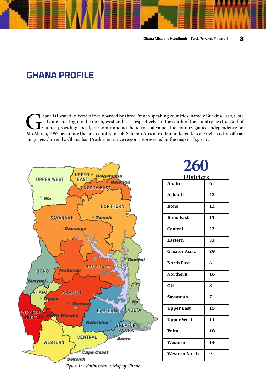# **GHANA PROFILE**

hana is located in West Africa boarded by three French speaking countries, namely Burkina Faso, Cote<br>D'Ivoire and Togo to the north, west and east respectively. To the south of the country lies the Gulf of<br>Guinea providing D'Ivoire and Togo to the north, west and east respectively. To the south of the country lies the Gulf of Guinea providing social, economic and aesthetic coastal value. The country gained independence on 6th March, 1957 becoming the first country in sub-Saharan Africa to attain independence. English is the official language. Currently, Ghana has 16 administrative regions represented in the map in *Figure 1.*

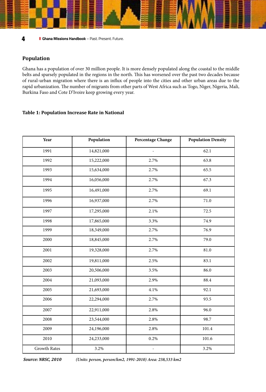# **Population**

Ghana has a population of over 30 million people. It is more densely populated along the coastal to the middle belts and sparsely populated in the regions in the north. This has worsened over the past two decades because of rural-urban migration where there is an influx of people into the cities and other urban areas due to the rapid urbanization. The number of migrants from other parts of West Africa such as Togo, Niger, Nigeria, Mali, Burkina Faso and Cote D'Ivoire keep growing every year.

# **Table 1: Population Increase Rate in National**

| Year                | Population | Percentage Change        | <b>Population Density</b> |
|---------------------|------------|--------------------------|---------------------------|
| 1991                | 14,821,000 | $\overline{\phantom{a}}$ | 62.1                      |
| 1992                | 15,222,000 | 2.7%                     | 63.8                      |
| 1993                | 15,634,000 | 2.7%                     | 65.5                      |
| 1994                | 16,056,000 | 2.7%                     | 67.3                      |
| 1995                | 16,491,000 | 2.7%                     | 69.1                      |
| 1996                | 16,937,000 | 2.7%                     | 71.0                      |
| 1997                | 17,295,000 | 2.1%                     | 72.5                      |
| 1998                | 17,865,000 | 3.3%                     | 74.9                      |
| 1999                | 18,349,000 | 2.7%                     | 76.9                      |
| 2000                | 18,845,000 | 2.7%                     | 79.0                      |
| 2001                | 19,328,000 | 2.7%                     | 81.0                      |
| 2002                | 19,811,000 | 2.5%                     | 83.1                      |
| 2003                | 20,506,000 | 3.5%                     | 86.0                      |
| 2004                | 21,093,000 | 2.9%                     | 88.4                      |
| 2005                | 21,693,000 | 4.1%                     | 92.1                      |
| 2006                | 22,294,000 | 2.7%                     | 93.5                      |
| 2007                | 22,911,000 | 2.8%                     | 96.0                      |
| 2008                | 23,544,000 | 2.8%                     | 98.7                      |
| 2009                | 24,196,000 | 2.8%                     | 101.4                     |
| 2010                | 24,233,000 | 0.2%                     | 101.6                     |
| <b>Growth Rates</b> | 3.2%       | $\overline{a}$           | 3.2%                      |

 *Source: NRSC, 2010 (Units: person, person/km2, 1991-2010) Area: 238,533 km2*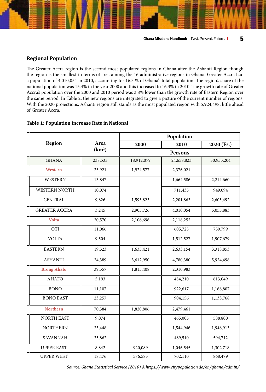The Greater Accra region is the second most populated regions in Ghana after the Ashanti Region though the region is the smallest in terms of area among the 16 administrative regions in Ghana. Greater Accra had a population of 4,010,054 in 2010, accounting for 16.3 % of Ghana's total population. The region's share of the national population was 15.4% in the year 2000 and this increased to 16.3% in 2010. The growth rate of Greater Accra's population over the 2000 and 2010 period was 3.8% lower than the growth rate of Eastern Region over the same period. In Table 2, the new regions are integrated to give a picture of the current number of regions. With the 2020 projections, Ashanti region still stands as the most populated region with 5,924,498, little ahead of Greater Accra.

# **Table 1: Population Increase Rate in National**

|                      |         | Population |            |            |
|----------------------|---------|------------|------------|------------|
| Region               | Area    | 2000       | 2010       | 2020 (Es.) |
| (km <sup>2</sup> )   |         |            | Persons    |            |
| <b>GHANA</b>         | 238,533 | 18,912,079 | 24,658,823 | 30,955,204 |
| Western              | 23,921  | 1,924,577  | 2,376,021  |            |
| <b>WESTERN</b>       | 13,847  |            | 1,664,586  | 2,214,660  |
| <b>WESTERN NORTH</b> | 10,074  |            | 711,435    | 949,094    |
| <b>CENTRAL</b>       | 9,826   | 1,593,823  | 2,201,863  | 2,605,492  |
| <b>GREATER ACCRA</b> | 3,245   | 2,905,726  | 4,010,054  | 5,055,883  |
| <b>Volta</b>         | 20,570  | 2,106,696  | 2,118,252  |            |
| <b>OTI</b>           | 11,066  |            | 605,725    | 759,799    |
| <b>VOLTA</b>         | 9,504   |            | 1,512,527  | 1,907,679  |
| <b>EASTERN</b>       | 19,323  | 1,635,421  | 2,633,154  | 3,318,853  |
| <b>ASHANTI</b>       | 24,389  | 3,612,950  | 4,780,380  | 5,924,498  |
| <b>Brong Ahafo</b>   | 39,557  | 1,815,408  | 2,310,983  |            |
| <b>AHAFO</b>         | 5,193   |            | 484,210    | 613,049    |
| <b>BONO</b>          | 11,107  |            | 922,617    | 1,168,807  |
| <b>BONO EAST</b>     | 23,257  |            | 904,156    | 1,133,768  |
| <b>Northern</b>      | 70,384  | 1,820,806  | 2,479,461  |            |
| <b>NORTH EAST</b>    | 9,074   |            | 465,005    | 588,800    |
| <b>NORTHERN</b>      | 25,448  |            | 1,544,946  | 1,948,913  |
| SAVANNAH             | 35,862  |            | 469,510    | 594,712    |
| <b>UPPER EAST</b>    | 8,842   | 920,089    | 1,046,545  | 1,302,718  |
| <b>UPPER WEST</b>    | 18,476  | 576,583    | 702,110    | 868,479    |

 *Source: Ghana Statistical Service (2010) & https://www.citypopulation.de/en/ghana/admin/*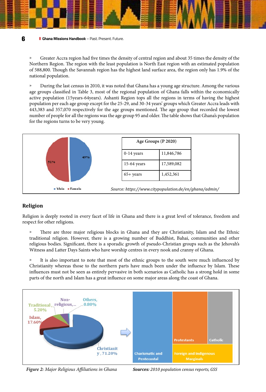» Greater Accra region had five times the density of central region and about 35 times the density of the Northern Region. The region with the least population is North East region with an estimated population of 588,800. Though the Savannah region has the highest land surface area, the region only has 1.9% of the national population.

» During the last census in 2010, it was noted that Ghana has a young age structure. Among the various age groups classified in Table 3, most of the regional population of Ghana falls within the economically active population (15years-64years). Ashanti Region tops all the regions in terms of having the highest population per each age group except for the 25-29, and 30-34 years' groups which Greater Accra leads with 443,383 and 357,070 respectively for the age groups mentioned. The age group that recorded the lowest number of people for all the regions was the age group 95 and older. The table shows that Ghana's population for the regions turns to be very young.



# **Religion**

Religion is deeply rooted in every facet of life in Ghana and there is a great level of tolerance, freedom and respect for other religions.

» There are three major religious blocks in Ghana and they are Christianity, Islam and the Ethnic traditional religion. However, there is a growing number of Buddhist, Bahai, communities and other religious bodies. Significant, there is a sporadic growth of pseudo-Christian groups such as the Jehovah's Witness and Latter Days Saints who have worship centres in every nook and cranny of Ghana.

» It is also important to note that most of the ethnic groups to the south were much influenced by Christianity whereas those to the northern parts have much been under the influence by Islam. These influences must not be seen as entirely pervasive in both scenarios as Catholic has a strong hold in some parts of the north and Islam has a great influence on some major areas along the coast of Ghana.



*Figure 2: Major Religious Affiliations in Ghana Sources: 2010 population census reports, GSS*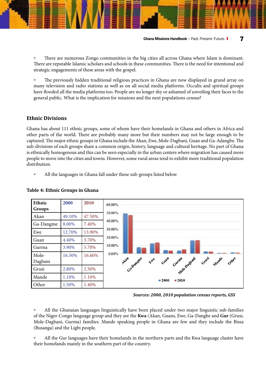» There are numerous Zongo communities in the big cities all across Ghana where Islam is dominant. There are reputable Islamic scholars and schools in these communities. There is the need for intentional and strategic engagements of these areas with the gospel.

» The previously hidden traditional religious practices in Ghana are now displayed in grand array on many television and radio stations as well as on all social media platforms. Occults and spiritual groups have flooded all the media platforms too. People are no longer shy or ashamed of unveiling their faces to the general public. What is the implication for missions and the next populations census?

# **Ethnic Divisions**

Ghana has about 111 ethnic groups, some of whom have their homelands in Ghana and others in Africa and other parts of the world. There are probably many more but their numbers may not be large enough to be captured. The major ethnic groups in Ghana include the Akan, Ewe, Mole-Dagbani, Guan and Ga-Adangbe. The sub-divisions of each groups share a common origin, history, language and cultural heritage. No part of Ghana is ethnically homogenous and this can be seen especially in the urban centers where migration has caused more people to move into the cities and towns. However, some rural areas tend to exhibit more traditional population distribution.

» All the languages in Ghana fall under these sub-groups listed below



# **Table 4: Ethnic Groups in Ghana**

*Sources: 2000, 2010 population census reports, GSS* 

» All the Ghanaian languages linguistically have been placed under two major linguistic sub-families of the Niger-Congo language group and they are the **Kwa** (Akan, Guans, Ewe, Ga-Dangbe and **Gur** (Grusi, Mole-Dagbani, Gurma) families. Mande speaking people in Ghana are few and they include the Bissa (Busanga) and the Ligbi people.

» All the Gur languages have their homelands in the northern parts and the Kwa language cluster have their homelands mainly in the southern part of the country.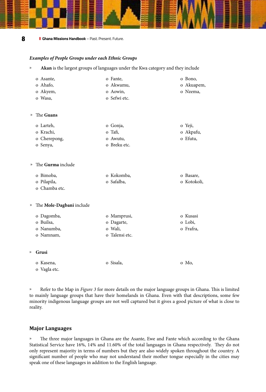# *Examples of People Groups under each Ethnic Groups*

» **Akan** is the largest groups of languages under the Kwa category and they include

|                    | o Asante,                | o Fante,       | o Bono,     |
|--------------------|--------------------------|----------------|-------------|
|                    | o Ahafo,                 | o Akwamu,      | o Akuapem,  |
|                    | o Akyem,                 | o Aowin,       | o Nzema,    |
|                    | o Wasa,                  | o Sefwi etc.   |             |
| $\rangle$          | The Guans                |                |             |
|                    | o Larteh,                | o Gonja,       | o Yeji,     |
|                    | o Krachi,                | o Tafi,        | o Akpafu,   |
|                    | o Cherepong,             | o Awutu,       | o Efutu,    |
|                    | o Senya,                 | o Breku etc.   |             |
| $\rangle\!\rangle$ | The Gurma include        |                |             |
|                    | o Bimoba,                | o Kokomba,     | o Basare,   |
|                    | o Pilapila,              | o Safalba,     | o Kotokoli, |
|                    | o Chamba etc.            |                |             |
| »                  | The Mole-Dagbani include |                |             |
|                    | o Dagomba,               | o Mamprusi,    | o Kusasi    |
|                    | o Builsa,                | o Dagarte,     | o Lobi,     |
|                    | o Nanumba,               | o Wali,        | o Frafra,   |
|                    | o Namnam,                | o Talensi etc. |             |
| ))                 | Grusi                    |                |             |
|                    | o Kasena,                | o Sisala,      | o Mo,       |
|                    | o Vagla etc.             |                |             |

» Refer to the Map in *Figure 3* for more details on the major language groups in Ghana. This is limited to mainly language groups that have their homelands in Ghana. Even with that descriptions, some few minority indigenous language groups are not well captured but it gives a good picture of what is close to reality.

# **Major Languages**

» The three major languages in Ghana are the Asante, Ewe and Fante which according to the Ghana Statistical Service have 16%, 14% and 11.60% of the total languages in Ghana respectively. They do not only represent majority in terms of numbers but they are also widely spoken throughout the country. A significant number of people who may not understand their mother tongue especially in the cities may speak one of these languages in addition to the English language.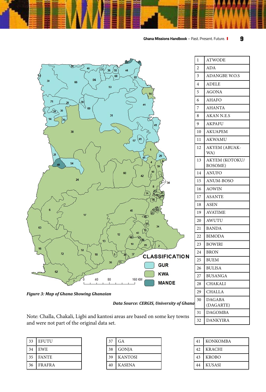

1 ATWODE 2 ADA

4 ADELE 5 AGONA 6 AHAFO 7 AHANTA 8 AKAN N.E.S 9 AKPAFU 10 AKUAPEM 11 AKWAMU

3 ADANGBE W.O.S

12 AKYEM (ABUAK-

13 AKYEM (KOTOKU/ BOSOME) 14 ANUFO

15 ANUM-BOSO 16 AOWIN 17 ASANTE 18 ASEN 19 AVATIME 20 AWUTU 21 BANDA 22 BIMODA 23 BOWIRI 24 BRON 25 BUEM 26 BULISA 27 BUSANGA 28 CHAKALI 29 CHALLA 30 DAGABA (DAGARTE)

WA)





*Data Source: CERGIS, University of Ghana*

|                                                                                                                                       |  | $31$ DAGOMBA |
|---------------------------------------------------------------------------------------------------------------------------------------|--|--------------|
| Note: Challa, Chakali, Ligbi and kantosi areas are based on some key towns 32 DANKYIRA<br>and were not part of the original data set. |  |              |
|                                                                                                                                       |  |              |

| 33 | <b>EFUTU</b>  |
|----|---------------|
| 34 | EWE           |
| 35 | <b>FANTE</b>  |
| 36 | <b>FRAFRA</b> |

| 37 | GА             |
|----|----------------|
| 38 | <b>GONJA</b>   |
| 39 | <b>KANTOSI</b> |
| 40 | <b>KASENA</b>  |

| 41 | <b>KONKOMBA</b> |
|----|-----------------|
| 42 | <b>KRACHI</b>   |
| 43 | <b>KROBO</b>    |
|    | <b>KUSASI</b>   |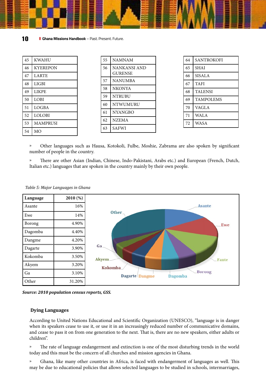| 45 | <b>KWAHU</b>    |
|----|-----------------|
| 46 | <b>KYEREPON</b> |
| 47 | <b>LARTE</b>    |
| 48 | LIGBI           |
| 49 | LIKPE           |
| 50 | LOBI            |
| 51 | <b>LOGBA</b>    |
| 52 | <b>LOLOBI</b>   |
| 53 | <b>MAMPRUSI</b> |
| 54 | MO              |

| 55 | <b>NAMNAM</b>                  |
|----|--------------------------------|
| 56 | NANKANSI AND<br><b>GURENSE</b> |
| 57 | <b>NANUMBA</b>                 |
| 58 | <b>NKONYA</b>                  |
| 59 | <b>NTRUBU</b>                  |
| 60 | <b>NTWUMURU</b>                |
| 61 | <b>NYANGBO</b>                 |
| 62 | <b>NZEMA</b>                   |
| 63 | SAFWI                          |

| 64 | <b>SANTROKOFI</b> |
|----|-------------------|
| 65 | <b>SHAI</b>       |
| 66 | SISALA            |
| 67 | <b>TAFI</b>       |
| 68 | <b>TALENSI</b>    |
| 69 | <b>TAMPOLEMS</b>  |
| 70 | VAGLA             |
| 71 | WALA              |
| 72 | <b>WASA</b>       |

» Other languages such as Hausa, Kotokoli, Fulbe, Moshie, Zabrama are also spoken by significant number of people in the country.

» There are other Asian (Indian, Chinese, Indo-Pakistani, Arabs etc.) and European (French, Dutch, Italian etc.) languages that are spoken in the country mainly by their own people.



*Table 5: Major Languages in Ghana*

*Source: 2010 population census reports, GSS.*

# **Dying Languages**

According to United Nations Educational and Scientific Organization (UNESCO), "language is in danger when its speakers cease to use it, or use it in an increasingly reduced number of communicative domains, and cease to pass it on from one generation to the next. That is, there are no new speakers, either adults or children".

» The rate of language endangerment and extinction is one of the most disturbing trends in the world today and this must be the concern of all churches and mission agencies in Ghana.

» Ghana, like many other countries in Africa, is faced with endangerment of languages as well. This may be due to educational policies that allows selected languages to be studied in schools, intermarriages,